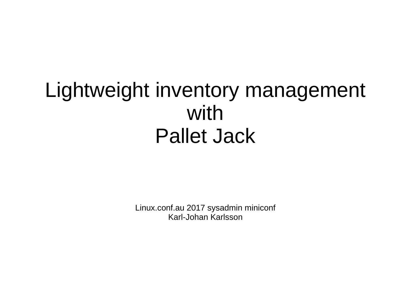#### Lightweight inventory management with Pallet Jack

Linux.conf.au 2017 sysadmin miniconf Karl-Johan Karlsson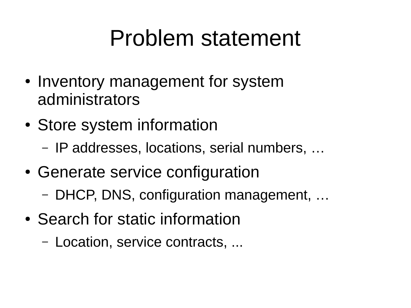## Problem statement

- Inventory management for system administrators
- Store system information
	- IP addresses, locations, serial numbers, …
- Generate service configuration
	- DHCP, DNS, configuration management, …
- Search for static information
	- Location, service contracts, ...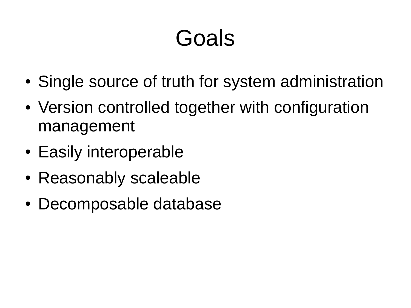## Goals

- Single source of truth for system administration
- Version controlled together with configuration management
- Easily interoperable
- Reasonably scaleable
- Decomposable database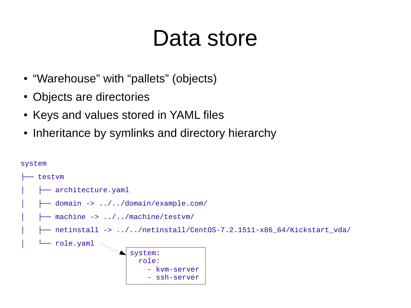## Data store

- "Warehouse" with "pallets" (objects)
- Objects are directories
- Keys and values stored in YAML files
- Inheritance by symlinks and directory hierarchy

```
system
   testvm
      - architecture.yaml
      - domain -> ../../domain/example.com/
    │ ├── machine -> ../../machine/testvm/
       │ ├── netinstall -> ../../netinstall/CentOS-7.2.1511-x86_64/Kickstart_vda/
    │ └── role.yaml
                           system: 
                              role:
                                   - kvm-server
                                   - ssh-server
```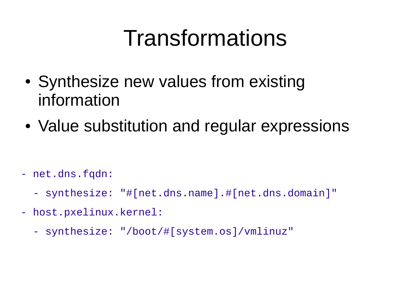## Transformations

- Synthesize new values from existing information
- Value substitution and regular expressions

- net.dns.fqdn:
	- synthesize: "#[net.dns.name].#[net.dns.domain]"
- host.pxelinux.kernel:
	- synthesize: "/boot/#[system.os]/vmlinuz"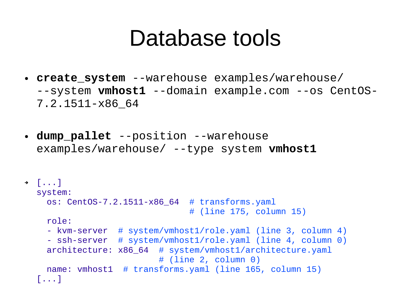### Database tools

- **create\_system** --warehouse examples/warehouse/ --system **vmhost1** --domain example.com --os CentOS-7.2.1511-x86\_64
- **dump\_pallet** --position --warehouse examples/warehouse/ --type system **vmhost1**

```
➔ [...]
  system:
      os: CentOS-7.2.1511-x86_64  # transforms.yaml
                                                                    # (line 175, column 15)
      role:
      - kvm-server  # system/vmhost1/role.yaml (line 3, column 4)
      - ssh-server  # system/vmhost1/role.yaml (line 4, column 0)
      architecture: x86_64  # system/vmhost1/architecture.yaml
                                                       # (line 2, column 0)
     name: vmhost1 # transforms.yaml (line 165, column 15)
   [...]
```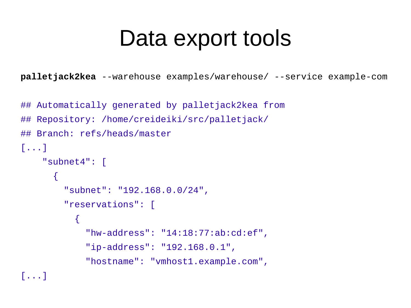## Data export tools

**palletjack2kea** --warehouse examples/warehouse/ --service example-com

```
## Automatically generated by palletjack2kea from
## Repository: /home/creideiki/src/palletjack/
## Branch: refs/heads/master
[...]
     "subnet4": [
       {
         "subnet": "192.168.0.0/24",
         "reservations": [
\overline{\mathcal{L}} "hw-address": "14:18:77:ab:cd:ef",
              "ip-address": "192.168.0.1",
              "hostname": "vmhost1.example.com",
```
[...]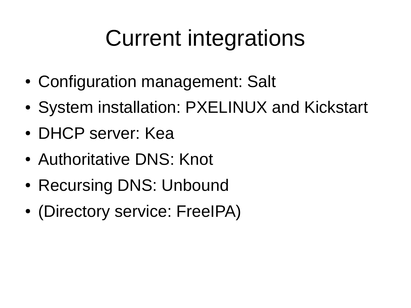# Current integrations

- Configuration management: Salt
- System installation: PXELINUX and Kickstart
- DHCP server: Kea
- Authoritative DNS: Knot
- Recursing DNS: Unbound
- (Directory service: FreeIPA)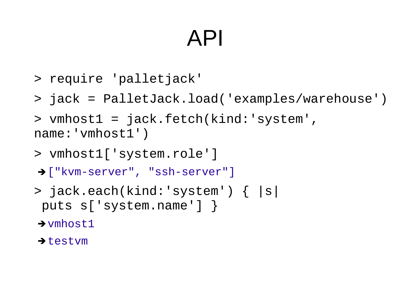## API

- > require 'palletjack'
- > jack = PalletJack.load('examples/warehouse')
- > vmhost1 = jack.fetch(kind:'system', name: 'vmhost1')
- > vmhost1['system.role']
- ➔["kvm-server", "ssh-server"]
- > jack.each(kind:'system') { |s| puts s['system.name'] }
- → vmhost1
- **→ testvm**